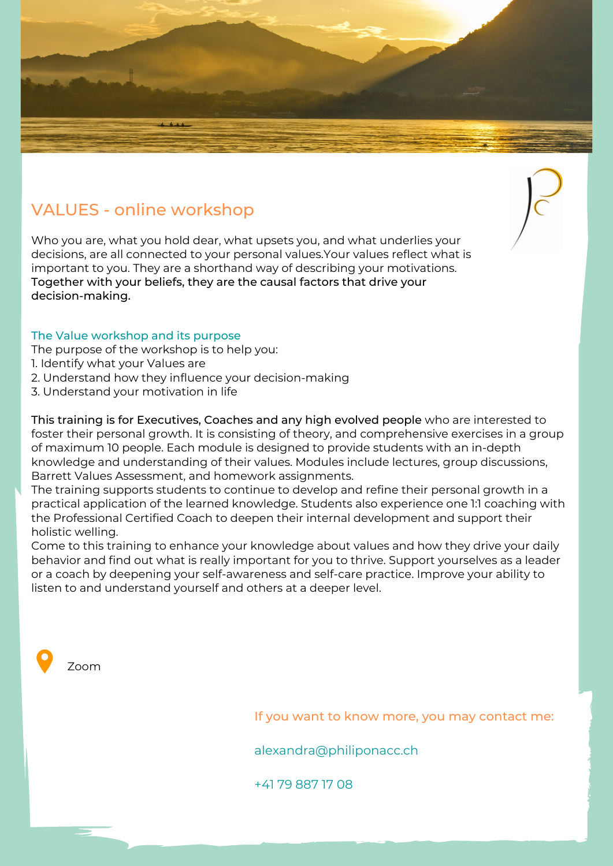

## VALUES - online workshop

Who you are, what you hold dear, what upsets you, and what underlies your decisions, are all connected to your personal values.Your values reflect what is important to you. They are a shorthand way of describing your motivations. Together with your beliefs, they are the causal factors that drive your decision-making.

## The Value workshop and its purpose

- The purpose of the workshop is to help you:
- 1. Identify what your Values are
- 2. Understand how they influence your decision-making
- 3. Understand your motivation in life

This training is for Executives, Coaches and any high evolved people who are interested to foster their personal growth. It is consisting of theory, and comprehensive exercises in a group of maximum 10 people. Each module is designed to provide students with an in-depth knowledge and understanding of their values. Modules include lectures, group discussions, Barrett Values Assessment, and homework assignments.

The training supports students to continue to develop and refine their personal growth in a practical application of the learned knowledge. Students also experience one 1:1 coaching with the Professional Certified Coach to deepen their internal development and support their holistic welling.

Come to this training to enhance your knowledge about values and how they drive your daily behavior and find out what is really important for you to thrive. Support yourselves as a leader or a coach by deepening your self-awareness and self-care practice. Improve your ability to listen to and understand yourself and others at a deeper level.



If you want to know more, you may contact me:

alexandra@philiponacc.ch

+41 79 887 17 08